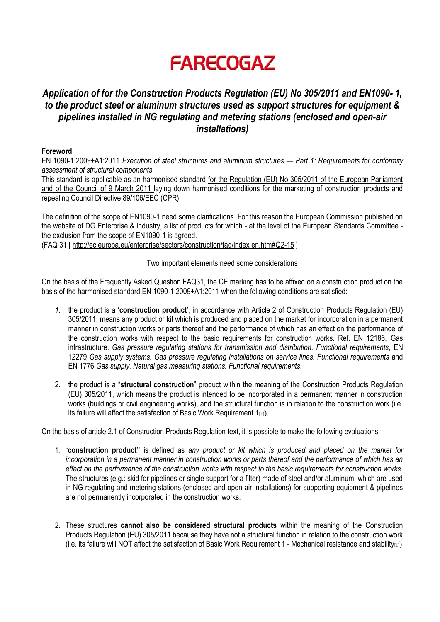# **FARECOGAZ**

## *Application of for the Construction Products Regulation (EU) No 305/2011 and EN1090- 1, to the product steel or aluminum structures used as support structures for equipment & pipelines installed in NG regulating and metering stations (enclosed and open-air installations)*

### **Foreword**

EN 1090-1:2009+A1:2011 *Execution of steel structures and aluminum structures — Part 1: Requirements for conformity assessment of structural components*

This standard is applicable as an harmonised standard for the Regulation (EU) No 305/2011 of the European Parliament and of the Council of 9 March 2011 laying down harmonised conditions for the marketing of construction products and repealing Council Directive 89/106/EEC (CPR)

The definition of the scope of EN1090-1 need some clarifications. For this reason the European Commission published on the website of DG Enterprise & Industry, a list of products for which - at the level of the European Standards Committee the exclusion from the scope of EN1090-1 is agreed.

(FAQ 31 [<http://ec.europa.eu/enterprise/sectors/construction/faq/index> en.htm#Q2-15 ]

Two important elements need some considerations

On the basis of the Frequently Asked Question FAQ31, the CE marking has to be affixed on a construction product on the basis of the harmonised standard EN 1090-1:2009+A1:2011 when the following conditions are satisfied:

- *1.* the product is a '**construction product'**, in accordance with Article 2 of Construction Products Regulation (EU) 305/2011, means any product or kit which is produced and placed on the market for incorporation in a permanent manner in construction works or parts thereof and the performance of which has an effect on the performance of the construction works with respect to the basic requirements for construction works. Ref. EN 12186, Gas infrastructure. *Gas pressure regulating stations for transmission and distribution. Functional requirements,* EN 12279 *Gas supply systems. Gas pressure regulating installations on service lines. Functional requirements* and EN 1776 *Gas supply. Natural gas measuring stations. Functional requirements.*
- 2. the product is a "**structural construction**" product within the meaning of the Construction Products Regulation (EU) 305/2011, which means the product is intended to be incorporated in a permanent manner in construction works (buildings or civil engineering works), and the structural function is in relation to the construction work (i.e. its failure will affect the satisfaction of Basic Work Requirement  $1_{[1]}$ ).

On the basis of article 2.1 of Construction Products Regulation text, it is possible to make the following evaluations:

- 1. "**construction product"** is defined as *any product or kit which is produced and placed on the market for incorporation in a permanent manner in construction works or parts thereof and the performance of which has an effect on the performance of the construction works with respect to the basic requirements for construction works.* The structures (e.g.: skid for pipelines or single support for a filter) made of steel and/or aluminum, which are used in NG regulating and metering stations (enclosed and open-air installations) for supporting equipment & pipelines are not permanently incorporated in the construction works.
- 2. These structures **cannot also be considered structural products** within the meaning of the Construction Products Regulation (EU) 305/2011 because they have not a structural function in relation to the construction work (i.e. its failure will NOT affect the satisfaction of Basic Work Requirement 1 - Mechanical resistance and stability $(11)$